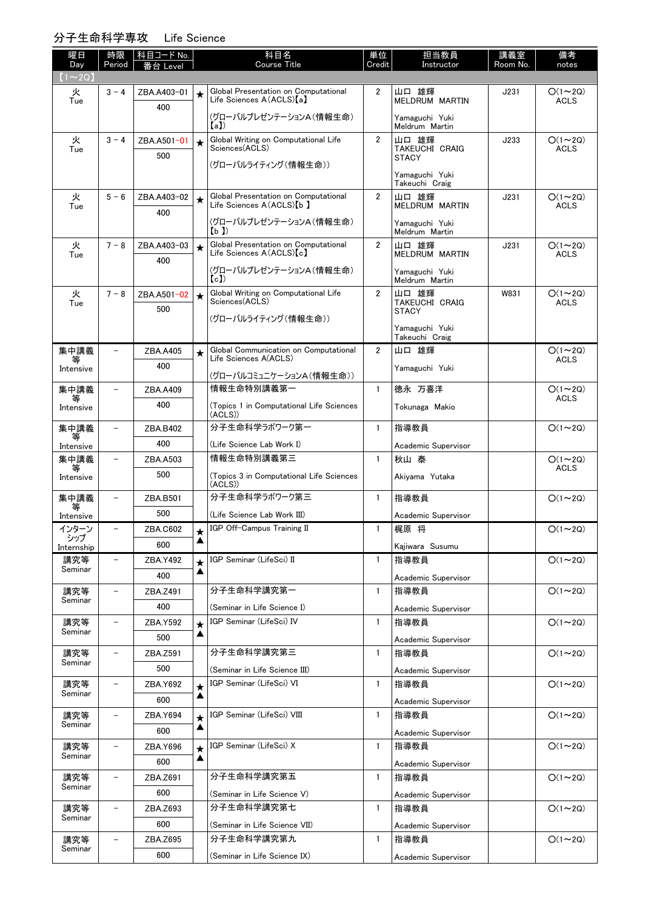## 分子生命科学専攻 Life Science

| 曜日<br>Day         | 時限<br>Period             | 科目コード No.<br>番台 Level |              | 科目名<br><b>Course Title</b>                                     | 単位<br>Credit   | 担当教員<br>Instructor               | 講義室<br>Room No. | 備考<br>notes                  |
|-------------------|--------------------------|-----------------------|--------------|----------------------------------------------------------------|----------------|----------------------------------|-----------------|------------------------------|
| $(1\sim 2Q)$      |                          |                       |              |                                                                |                |                                  |                 |                              |
| 火                 | $3 - 4$                  | ZBA.A403-01           | $\star$      | Global Presentation on Computational                           | $\overline{2}$ | 山口 雄輝                            | J231            | $O(1\sim 2Q)$                |
| Tue               |                          | 400                   |              | Life Sciences A(ACLS)[a]                                       |                | MELDRUM MARTIN                   |                 | <b>ACLS</b>                  |
|                   |                          |                       |              | (グローバルプレゼンテーションA(情報生命)<br>(a)                                  |                | Yamaguchi Yuki<br>Meldrum Martin |                 |                              |
| 火                 | $3 - 4$                  | ZBA.A501-01           | $\star$      | Global Writing on Computational Life<br>Sciences(ACLS)         | $\overline{2}$ | 山口 雄輝                            | J233            | $O(1\sim 2Q)$                |
| Tue               |                          | 500                   |              |                                                                |                | TAKEUCHI CRAIG<br><b>STACY</b>   |                 | <b>ACLS</b>                  |
|                   |                          |                       |              | (グローバルライティング(情報生命))                                            |                | Yamaguchi Yuki                   |                 |                              |
| 火                 | $5 - 6$                  |                       |              | Global Presentation on Computational                           | $\overline{2}$ | Takeuchi Craig                   | J231            | $O(1\sim 2Q)$                |
| Tue               |                          | ZBA.A403-02<br>400    | $\star$      | Life Sciences A(ACLS) [b ]                                     |                | 山口 雄輝<br>MELDRUM MARTIN          |                 | <b>ACLS</b>                  |
|                   |                          |                       |              | (グローバルプレゼンテーションA(情報生命)                                         |                | Yamaguchi Yuki                   |                 |                              |
| 火                 | $7 - 8$                  | ZBA.A403-03           | $\star$      | (b)<br>Global Presentation on Computational                    | $\overline{2}$ | Meldrum Martin<br>山口 雄輝          | J231            | $O(1\sim 2Q)$                |
| Tue               |                          | 400                   |              | Life Sciences A(ACLS)[c]                                       |                | MELDRUM MARTIN                   |                 | <b>ACLS</b>                  |
|                   |                          |                       |              | (グローバルプレゼンテーションA(情報生命)<br>(c)                                  |                | Yamaguchi Yuki<br>Meldrum Martin |                 |                              |
| 火                 | $7 - 8$                  | ZBA.A501-02           | $\star$      | Global Writing on Computational Life                           | $\overline{2}$ | 山口 雄輝                            | W831            | $O(1\sim 2Q)$                |
| Tue               |                          | 500                   |              | Sciences(ACLS)                                                 |                | TAKEUCHI CRAIG<br><b>STACY</b>   |                 | ACLS                         |
|                   |                          |                       |              | (グローバルライティング(情報生命))                                            |                | Yamaguchi Yuki                   |                 |                              |
|                   |                          |                       |              |                                                                |                | Takeuchi Craig                   |                 |                              |
| 集中講義<br>等         | $\overline{\phantom{0}}$ | ZBA.A405              | $\star$      | Global Communication on Computational<br>Life Sciences A(ACLS) | $\overline{2}$ | 山口 雄輝                            |                 | $O(1\sim 2Q)$<br><b>ACLS</b> |
| Intensive         |                          | 400                   |              | (グローバルコミュニケーションA(情報生命))                                        |                | Yamaguchi Yuki                   |                 |                              |
| 集中講義              | $\overline{\phantom{0}}$ | ZBA.A409              |              | 情報生命特別講義第一                                                     | $\mathbf{1}$   | 德永 万喜洋                           |                 | $O(1\sim 2Q)$                |
| 等<br>Intensive    |                          | 400                   |              | (Topics 1 in Computational Life Sciences                       |                | Tokunaga Makio                   |                 | <b>ACLS</b>                  |
|                   | $\overline{\phantom{0}}$ | ZBA.B402              |              | (ACLS))<br>分子生命科学ラボワーク第一                                       | $\mathbf{1}$   | 指導教員                             |                 | $O(1\sim 2Q)$                |
| 集中講義<br>等         |                          | 400                   |              | (Life Science Lab Work I)                                      |                |                                  |                 |                              |
| Intensive<br>集中講義 |                          | ZBA.A503              |              | 情報生命特別講義第三                                                     | $\mathbf{1}$   | Academic Supervisor<br>秋山 泰      |                 | $O(1\sim 2Q)$                |
| 等<br>Intensive    |                          | 500                   |              | (Topics 3 in Computational Life Sciences                       |                | Akiyama Yutaka                   |                 | <b>ACLS</b>                  |
|                   |                          |                       |              | (ACLS))                                                        |                |                                  |                 |                              |
| 集中講義              | $\overline{\phantom{a}}$ | ZBA.B501              |              | 分子生命科学ラボワーク第三                                                  | $\mathbf{1}$   | 指導教員                             |                 | $O(1\sim 2Q)$                |
| Intensive         |                          | 500                   |              | (Life Science Lab Work III)                                    |                | Academic Supervisor              |                 |                              |
| インターン<br>シップ      | $\overline{\phantom{0}}$ | ZBA.C602              | $\star$<br>▲ | IGP Off-Campus Training II                                     | -1             | 梶原 将                             |                 | $O(1\sim 2Q)$                |
| Internship<br>講究等 |                          | 600                   |              | IGP Seminar (LifeSci) II                                       | $\mathbf{1}$   | Kajiwara Susumu<br>指導教員          |                 | $O(1\sim 2Q)$                |
| Seminar           |                          | ZBA.Y492<br>400       | ▲            |                                                                |                |                                  |                 |                              |
| 講究等               |                          | ZBA.Z491              |              | 分子生命科学講究第一                                                     | $\mathbf{1}$   | Academic Supervisor<br>指導教員      |                 | $O(1\sim 2Q)$                |
| Seminar           |                          | 400                   |              | (Seminar in Life Science I)                                    |                | Academic Supervisor              |                 |                              |
| 講究等               | $\overline{\phantom{0}}$ | ZBA.Y592              | $\star$      | IGP Seminar (LifeSci) IV                                       | $\mathbf{1}$   | 指導教員                             |                 | $O(1\sim 2Q)$                |
| Seminar           |                          | 500                   | ▲            |                                                                |                | Academic Supervisor              |                 |                              |
| 講究等               |                          | ZBA.Z591              |              | 分子生命科学講究第三                                                     | $\mathbf{1}$   | 指導教員                             |                 | $O(1\sim 2Q)$                |
| Seminar           |                          | 500                   |              | (Seminar in Life Science III)                                  |                | Academic Supervisor              |                 |                              |
| 講究等               |                          | ZBA.Y692              | $\star$      | IGP Seminar (LifeSci) VI                                       | $\mathbf{1}$   | 指導教員                             |                 | $O(1\sim 2Q)$                |
| Seminar           |                          | 600                   | ▲            |                                                                |                | Academic Supervisor              |                 |                              |
| 講究等               |                          | ZBA.Y694              |              | IGP Seminar (LifeSci) VIII                                     | $\mathbf{1}$   | 指導教員                             |                 | $O(1\sim 2Q)$                |
| Seminar           |                          | 600                   | ▲            |                                                                |                | Academic Supervisor              |                 |                              |
| 講究等<br>Seminar    |                          | ZBA.Y696              | $\star$      | IGP Seminar (LifeSci) X                                        | $\mathbf{1}$   | 指導教員                             |                 | $O(1\sim 2Q)$                |
|                   |                          | 600                   | ▲            |                                                                |                | Academic Supervisor              |                 |                              |
| 講究等<br>Seminar    |                          | ZBA.Z691              |              | 分子生命科学講究第五                                                     | $\mathbf{1}$   | 指導教員                             |                 | $O(1\sim 2Q)$                |
|                   |                          | 600                   |              | (Seminar in Life Science V)                                    |                | Academic Supervisor              |                 |                              |
| 講究等<br>Seminar    |                          | ZBA.Z693              |              | 分子生命科学講究第七                                                     | $\mathbf{1}$   | 指導教員                             |                 | $O(1\sim 2Q)$                |
| 講究等               |                          | 600                   |              | (Seminar in Life Science VII)<br>分子生命科学講究第九                    | $\mathbf{1}$   | Academic Supervisor<br>指導教員      |                 | $O(1\sim 2Q)$                |
| Seminar           |                          | ZBA.Z695<br>600       |              | (Seminar in Life Science IX)                                   |                |                                  |                 |                              |
|                   |                          |                       |              |                                                                |                | Academic Supervisor              |                 |                              |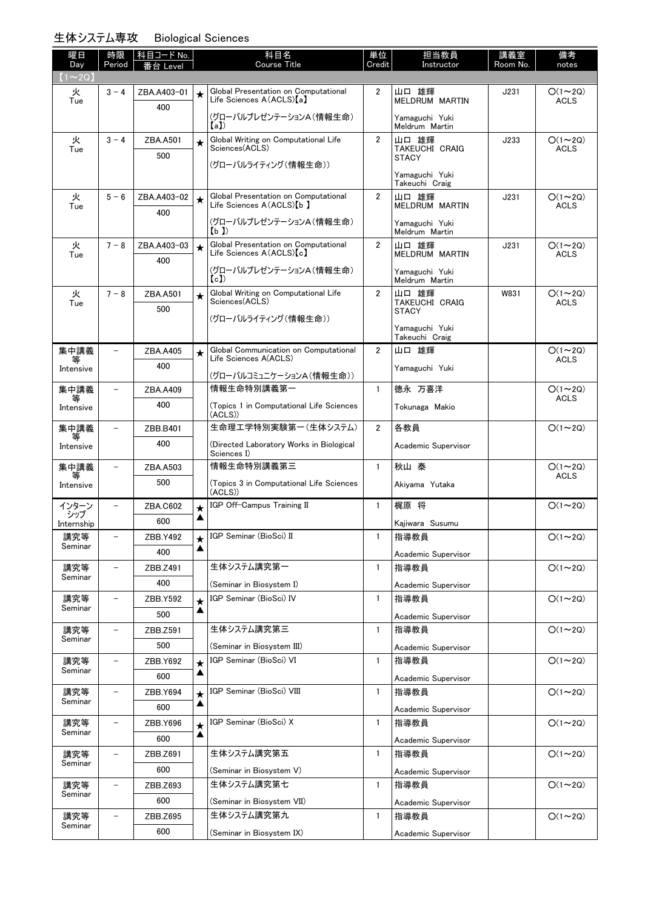### 生体システム専攻 Biological Sciences

| 曜日                   | 時限                       | 科目コード No.   |                 | 科目名<br><b>Course Title</b>                                          | 単位             | 担当教員                             | 講義室      | 備考                           |
|----------------------|--------------------------|-------------|-----------------|---------------------------------------------------------------------|----------------|----------------------------------|----------|------------------------------|
| Day<br>$(1 \sim 2Q)$ | Period                   | 台 Level     |                 |                                                                     | Credit         | Instructor                       | Room No. | notes                        |
| 火                    | $3 - 4$                  | ZBA.A403-01 | $\star$         | Global Presentation on Computational                                | $\overline{2}$ | 山口 雄輝                            | J231     | $O(1\sim 2Q)$                |
| Tue                  |                          | 400         |                 | Life Sciences A (ACLS) [a]                                          |                | MELDRUM MARTIN                   |          | <b>ACLS</b>                  |
|                      |                          |             |                 | (グローバルプレゼンテーションA(情報生命)<br>(a)                                       |                | Yamaguchi Yuki<br>Meldrum Martin |          |                              |
| 火                    | $3 - 4$                  | ZBA.A501    | $\star$         | Global Writing on Computational Life<br>Sciences(ACLS)              | $\overline{2}$ | 山口 雄輝                            | J233     | $O(1\sim 2Q)$                |
| Tue                  |                          | 500         |                 |                                                                     |                | TAKEUCHI CRAIG<br><b>STACY</b>   |          | <b>ACLS</b>                  |
|                      |                          |             |                 | (グローバルライティング(情報生命))                                                 |                | Yamaguchi Yuki                   |          |                              |
|                      |                          |             |                 |                                                                     |                | Takeuchi Craig                   |          |                              |
| 火<br>Tue             | $5 - 6$                  | ZBA.A403-02 | $\star$         | Global Presentation on Computational<br>Life Sciences A (ACLS) [b ] | $\overline{2}$ | 山口 雄輝<br>MELDRUM MARTIN          | J231     | $O(1\sim 2Q)$<br><b>ACLS</b> |
|                      |                          | 400         |                 | (グローバルプレゼンテーションA(情報生命)                                              |                | Yamaguchi Yuki                   |          |                              |
|                      |                          |             |                 | (b)                                                                 |                | Meldrum Martin                   |          |                              |
| 火<br>Tue             | $7 - 8$                  | ZBA.A403-03 | $\star$         | Global Presentation on Computational<br>Life Sciences A (ACLS) [c]  | $\overline{2}$ | 山口 雄輝<br>MELDRUM MARTIN          | J231     | $O(1\sim 2Q)$<br><b>ACLS</b> |
|                      |                          | 400         |                 | (グローバルプレゼンテーションA(情報生命)                                              |                | Yamaguchi Yuki                   |          |                              |
|                      |                          |             |                 | (c)                                                                 |                | Meldrum Martin                   |          |                              |
| 火<br>Tue             | $7 - 8$                  | ZBA.A501    | $\star$         | Global Writing on Computational Life<br>Sciences(ACLS)              | $\overline{2}$ | 山口 雄輝<br><b>TAKEUCHI CRAIG</b>   | W831     | $O(1\sim 2Q)$<br><b>ACLS</b> |
|                      |                          | 500         |                 | (グローバルライティング(情報生命))                                                 |                | <b>STACY</b>                     |          |                              |
|                      |                          |             |                 |                                                                     |                | Yamaguchi Yuki<br>Takeuchi Craig |          |                              |
| 集中講義<br>等            | $\overline{\phantom{0}}$ | ZBA.A405    | $\star$         | Global Communication on Computational<br>Life Sciences A(ACLS)      | $\overline{2}$ | 山口 雄輝                            |          | $O(1\sim 2Q)$<br><b>ACLS</b> |
| Intensive            |                          | 400         |                 |                                                                     |                | Yamaguchi Yuki                   |          |                              |
| 集中講義                 | $\overline{\phantom{0}}$ | ZBA.A409    |                 | (グローバルコミュニケーションA(情報生命))<br>情報生命特別講義第一                               | $\mathbf{1}$   | 德永 万喜洋                           |          | $O(1\sim 2Q)$                |
| 等                    |                          | 400         |                 | (Topics 1 in Computational Life Sciences                            |                | Tokunaga Makio                   |          | <b>ACLS</b>                  |
| Intensive            |                          |             |                 | (ACLS))                                                             |                |                                  |          |                              |
| 集中講義<br>等            | $\equiv$                 | ZBB.B401    |                 | 生命理工学特別実験第一(生体システム)                                                 | $\overline{2}$ | 各教員                              |          | $O(1\sim 2Q)$                |
| Intensive            |                          | 400         |                 | (Directed Laboratory Works in Biological<br>Sciences I)             |                | Academic Supervisor              |          |                              |
| 集中講義                 | $\overline{\phantom{0}}$ | ZBA.A503    |                 | 情報生命特別講義第三                                                          | $\mathbf{1}$   | 秋山 泰                             |          | $O(1\sim 2Q)$                |
| 等<br>Intensive       |                          | 500         |                 | (Topics 3 in Computational Life Sciences                            |                | Akiyama Yutaka                   |          | <b>ACLS</b>                  |
|                      |                          | ZBA.C602    |                 | (ACLS))<br>IGP Off-Campus Training II                               | $\mathbf{1}$   | 梶原 将                             |          | $O(1\sim 2Q)$                |
| インターン<br>・シップ        |                          | 600         | $\bigstar$<br>▲ |                                                                     |                |                                  |          |                              |
| Internship<br>講究等    | -                        | ZBB.Y492    |                 | IGP Seminar (BioSci) II                                             | $\mathbf{1}$   | Kajiwara Susumu<br>指導教員          |          | $O(1 \sim 2Q)$               |
| Seminar              |                          | 400         | $\star$<br>▲    |                                                                     |                | Academic Supervisor              |          |                              |
| 講究等                  | $\overline{a}$           | ZBB.Z491    |                 | 生体システム講究第一                                                          | $\mathbf{1}$   | 指導教員                             |          | $O(1\sim 2Q)$                |
| Seminar              |                          | 400         |                 | (Seminar in Biosystem I)                                            |                | Academic Supervisor              |          |                              |
| 講究等                  | $\overline{a}$           | ZBB.Y592    | $\star$         | IGP Seminar (BioSci) IV                                             | $\mathbf{1}$   | 指導教員                             |          | $O(1\sim 2Q)$                |
| Seminar              |                          | 500         | ▲               |                                                                     |                | Academic Supervisor              |          |                              |
| 講究等                  |                          | ZBB.Z591    |                 | 生体システム講究第三                                                          | $\mathbf{1}$   | 指導教員                             |          | $O(1\sim 2Q)$                |
| Seminar              |                          | 500         |                 | (Seminar in Biosystem III)                                          |                | Academic Supervisor              |          |                              |
| 講究等                  | $\overline{\phantom{0}}$ | ZBB.Y692    | $\star$         | IGP Seminar (BioSci) VI                                             | $\mathbf{1}$   | 指導教員                             |          | $O(1\sim 2Q)$                |
| Seminar              |                          | 600         | ▲               |                                                                     |                | Academic Supervisor              |          |                              |
| 講究等                  | $\overline{\phantom{0}}$ | ZBB.Y694    | $\star$         | IGP Seminar (BioSci) VIII                                           | $\mathbf{1}$   | 指導教員                             |          | $O(1 \sim 2Q)$               |
| Seminar              |                          | 600         | ▲               |                                                                     |                | Academic Supervisor              |          |                              |
| 講究等                  | $\overline{\phantom{0}}$ | ZBB.Y696    | $\bigstar$      | IGP Seminar (BioSci) X                                              | 1              | 指導教員                             |          | $O(1\sim 2Q)$                |
| Seminar              |                          | 600         | ▲               |                                                                     |                | Academic Supervisor              |          |                              |
| 講究等                  |                          | ZBB.Z691    |                 | 生体システム講究第五                                                          | $\mathbf{1}$   | 指導教員                             |          | $O(1\sim 2Q)$                |
| Seminar              |                          | 600         |                 | (Seminar in Biosystem V)                                            |                | Academic Supervisor              |          |                              |
| 講究等                  | $\overline{\phantom{0}}$ | ZBB.Z693    |                 | 生体システム講究第七                                                          | $\mathbf{1}$   | 指導教員                             |          | $O(1\sim 2Q)$                |
| Seminar              |                          | 600         |                 | (Seminar in Biosystem VII)                                          |                | Academic Supervisor              |          |                              |
| 講究等                  | $\overline{\phantom{0}}$ | ZBB.Z695    |                 | 生体システム講究第九                                                          | 1              | 指導教員                             |          | $O(1\sim 2Q)$                |
| Seminar              |                          | 600         |                 | (Seminar in Biosystem IX)                                           |                | Academic Supervisor              |          |                              |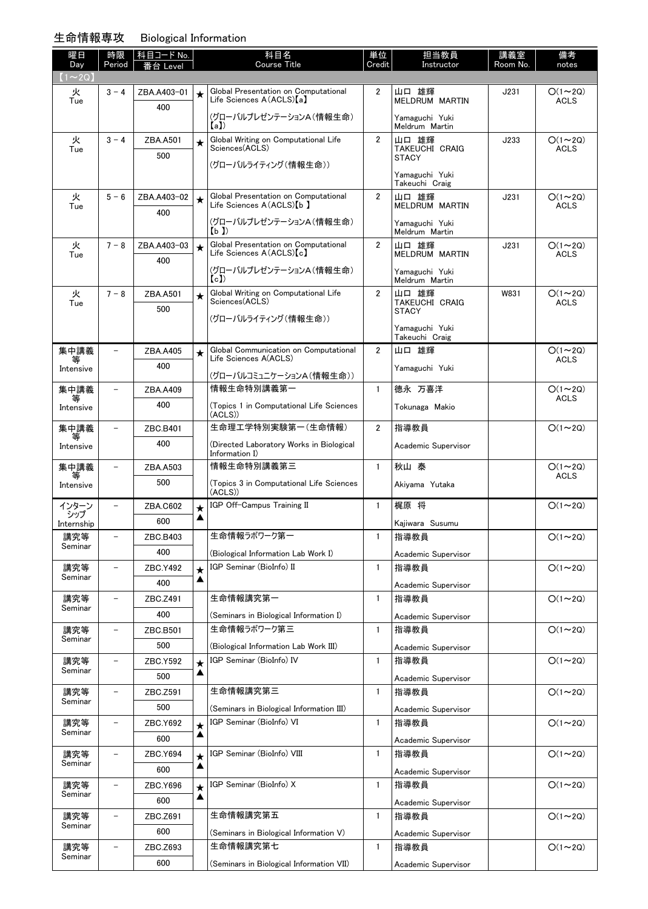# 生命情報専攻

| 攻<br><b>Biological Information</b> |  |
|------------------------------------|--|
|------------------------------------|--|

| 曜日<br>Day      | 時限<br>Period             | 科目コード No.<br>番台 Level |              | 科目名<br><b>Course Title</b>                                        | 単位<br>Credit   | 担当教員<br>Instructor               | 講義室<br>Room No. | 備考<br>notes                  |
|----------------|--------------------------|-----------------------|--------------|-------------------------------------------------------------------|----------------|----------------------------------|-----------------|------------------------------|
| $(1\sim 2Q)$   |                          |                       |              |                                                                   |                |                                  |                 |                              |
| 火              | $3 - 4$                  | ZBA.A403-01           | $\star$      | Global Presentation on Computational<br>Life Sciences A(ACLS) [a] | $\overline{2}$ | 山口 雄輝<br><b>MELDRUM MARTIN</b>   | J231            | $O(1\sim 2Q)$<br><b>ACLS</b> |
| Tue            |                          | 400                   |              |                                                                   |                |                                  |                 |                              |
|                |                          |                       |              | (グローバルプレゼンテーションA(情報生命)<br>【a】)                                    |                | Yamaguchi Yuki<br>Meldrum Martin |                 |                              |
| 火<br>Tue       | $3 - 4$                  | ZBA.A501              | $\star$      | Global Writing on Computational Life<br>Sciences(ACLS)            | $\overline{2}$ | 山口 雄輝<br><b>TAKEUCHI CRAIG</b>   | J233            | $O(1\sim 2Q)$<br><b>ACLS</b> |
|                |                          | 500                   |              | (グローバルライティング(情報生命))                                               |                | <b>STACY</b>                     |                 |                              |
|                |                          |                       |              |                                                                   |                | Yamaguchi Yuki<br>Takeuchi Craig |                 |                              |
| 火              | $5 - 6$                  | ZBA.A403-02           | $\star$      | Global Presentation on Computational                              | $\overline{2}$ | 山口 雄輝                            | J231            | $O(1\sim 2Q)$                |
| Tue            |                          | 400                   |              | Life Sciences A(ACLS) [b ]                                        |                | MELDRUM MARTIN                   |                 | <b>ACLS</b>                  |
|                |                          |                       |              | (グローバルプレゼンテーションA(情報生命)<br>(b)                                     |                | Yamaguchi Yuki<br>Meldrum Martin |                 |                              |
| 火              | $7 - 8$                  | ZBA.A403-03           | $\star$      | Global Presentation on Computational                              | $\overline{2}$ | 山口 雄輝                            | J231            | $O(1\sim 2Q)$                |
| Tue            |                          | 400                   |              | Life Sciences $A(ACLS)[c]$                                        |                | MELDRUM MARTIN                   |                 | <b>ACLS</b>                  |
|                |                          |                       |              | (グローバルプレゼンテーションA(情報生命)<br>(c)                                     |                | Yamaguchi Yuki<br>Meldrum Martin |                 |                              |
| 火              | $7 - 8$                  | ZBA.A501              | $\star$      | Global Writing on Computational Life                              | $\overline{2}$ | 山口 雄輝                            | W831            | $O(1\sim 2Q)$                |
| Tue            |                          | 500                   |              | Sciences(ACLS)                                                    |                | TAKEUCHI CRAIG<br><b>STACY</b>   |                 | <b>ACLS</b>                  |
|                |                          |                       |              | (グローバルライティング(情報生命))                                               |                | Yamaguchi Yuki                   |                 |                              |
| 集中講義           | $\overline{\phantom{0}}$ |                       |              | Global Communication on Computational                             | $\overline{2}$ | Takeuchi Craig<br>山口 雄輝          |                 | $O(1\sim 2Q)$                |
| 等              |                          | ZBA.A405<br>400       | $\star$      | Life Sciences A(ACLS)                                             |                |                                  |                 | <b>ACLS</b>                  |
| Intensive      |                          |                       |              | (グローバルコミュニケーションA(情報生命))                                           |                | Yamaguchi Yuki                   |                 |                              |
| 集中講義<br>等      | $\overline{\phantom{0}}$ | ZBA.A409              |              | 情報生命特別講義第一                                                        | $\mathbf{1}$   | 德永 万喜洋                           |                 | $O(1\sim 2Q)$<br><b>ACLS</b> |
| Intensive      |                          | 400                   |              | (Topics 1 in Computational Life Sciences<br>(ACLS))               |                | Tokunaga Makio                   |                 |                              |
| 集中講義           | $\overline{\phantom{0}}$ | ZBC.B401              |              | 生命理工学特別実験第一(生命情報)                                                 | $\overline{2}$ | 指導教員                             |                 | $O(1\sim 2Q)$                |
| 等<br>Intensive |                          | 400                   |              | (Directed Laboratory Works in Biological                          |                | Academic Supervisor              |                 |                              |
| 集中講義           | $\overline{\phantom{0}}$ | ZBA.A503              |              | Information I)<br>情報生命特別講義第三                                      | 1              | 秋山 泰                             |                 | $O(1\sim 2Q)$                |
| 等<br>Intensive |                          | 500                   |              | (Topics 3 in Computational Life Sciences                          |                | Akivama Yutaka                   |                 | ACLS                         |
|                |                          |                       |              | (ACLS))                                                           |                |                                  |                 |                              |
| インターン<br>シップ   | $\overline{\phantom{0}}$ | ZBA.C602              | $\star$<br>▲ | IGP Off-Campus Training II                                        | $\mathbf{1}$   | 梶原 将                             |                 | $O(1\sim 2Q)$                |
| Internship     |                          | 600                   |              | 生命情報ラボワーク第一                                                       |                | Kajiwara Susumu                  |                 |                              |
| 講究等<br>Seminar | -                        | ZBC.B403<br>400       |              |                                                                   | 1              | 指導教員                             |                 | $O(1 \sim 2Q)$               |
| 講究等            |                          | ZBC.Y492              |              | (Biological Information Lab Work I)<br>IGP Seminar (BioInfo) II   | $\mathbf{1}$   | Academic Supervisor<br>指導教員      |                 | $O(1\sim 2Q)$                |
| Seminar        |                          | 400                   | $\star$<br>▲ |                                                                   |                | Academic Supervisor              |                 |                              |
| 講究等            | $\overline{\phantom{0}}$ | ZBC.Z491              |              | 生命情報講究第一                                                          | $\mathbf{1}$   | 指導教員                             |                 | $O(1\sim 2Q)$                |
| Seminar        |                          | 400                   |              | (Seminars in Biological Information I)                            |                | Academic Supervisor              |                 |                              |
| 講究等            | $\overline{\phantom{a}}$ | ZBC.B501              |              | 生命情報ラボワーク第三                                                       | 1              | 指導教員                             |                 | $O(1\sim 2Q)$                |
| Seminar        |                          | 500                   |              | (Biological Information Lab Work III)                             |                | Academic Supervisor              |                 |                              |
| 講究等            |                          | ZBC.Y592              | $\star$      | IGP Seminar (BioInfo) IV                                          | 1              | 指導教員                             |                 | $O(1\sim 2Q)$                |
| Seminar        |                          | 500                   | ▲            |                                                                   |                | Academic Supervisor              |                 |                              |
| 講究等<br>Seminar | -                        | ZBC.Z591              |              | 生命情報講究第三                                                          | $\mathbf{1}$   | 指導教員                             |                 | $O(1\sim 2Q)$                |
|                |                          | 500                   |              | (Seminars in Biological Information III)                          |                | Academic Supervisor              |                 |                              |
| 講究等<br>Seminar |                          | ZBC.Y692              | $\star$<br>▲ | IGP Seminar (BioInfo) VI                                          | 1              | 指導教員                             |                 | $O(1\sim 2Q)$                |
|                |                          | 600                   |              |                                                                   |                | Academic Supervisor              |                 |                              |
| 講究等<br>Seminar | $\overline{\phantom{0}}$ | ZBC.Y694              | $\star$<br>▲ | IGP Seminar (BioInfo) VIII                                        | $\mathbf{1}$   | 指導教員                             |                 | $O(1\sim 2Q)$                |
| 講究等            | $\overline{\phantom{0}}$ | 600<br>ZBC.Y696       |              | IGP Seminar (BioInfo) X                                           | 1              | Academic Supervisor<br>指導教員      |                 | $O(1\sim 2Q)$                |
| Seminar        |                          | 600                   | $\star$<br>▲ |                                                                   |                |                                  |                 |                              |
| 講究等            | $\overline{\phantom{0}}$ | ZBC.Z691              |              | 生命情報講究第五                                                          | 1              | Academic Supervisor<br>指導教員      |                 | $O(1\sim 2Q)$                |
| Seminar        |                          | 600                   |              | (Seminars in Biological Information V)                            |                | Academic Supervisor              |                 |                              |
| 講究等            | $\overline{\phantom{0}}$ | ZBC.Z693              |              | 生命情報講究第七                                                          | 1              | 指導教員                             |                 | $O(1\sim 2Q)$                |
| Seminar        |                          | 600                   |              | (Seminars in Biological Information VII)                          |                | Academic Supervisor              |                 |                              |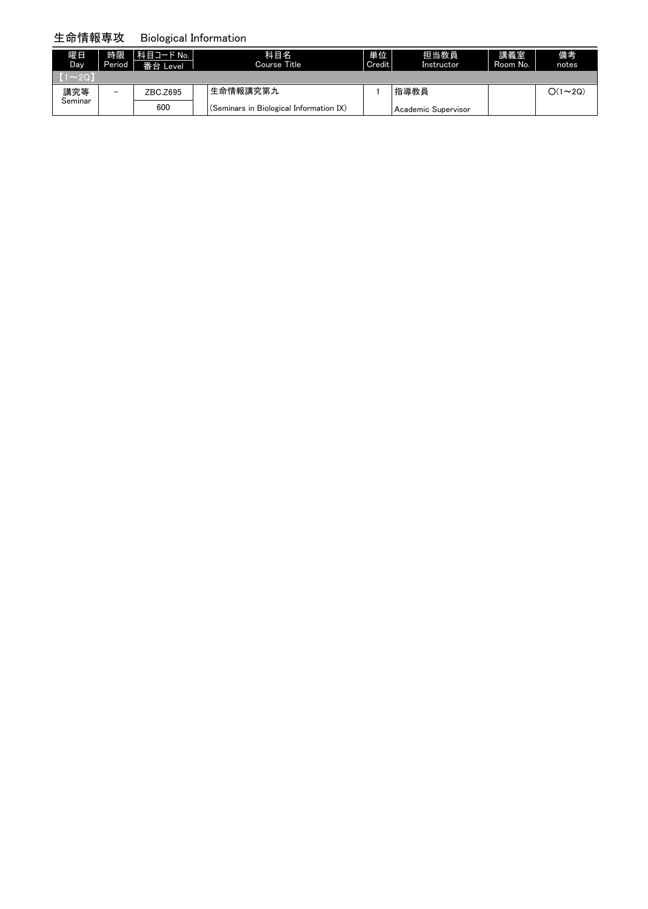#### 生命情報専攻 Biological Information

| 曜日<br>Day    | 時限<br>Period | 科目コード No.<br>番台 Level | 科目名<br>Course Title                     | 単位<br>Credit | 担当教員<br>Instructor  | 講義室<br>Room No. | 備考<br>notes   |
|--------------|--------------|-----------------------|-----------------------------------------|--------------|---------------------|-----------------|---------------|
| $(1\sim 20)$ |              |                       |                                         |              |                     |                 |               |
| 講究等          | -            | ZBC.Z695              | 生命情報講究第九                                |              | 指導教員                |                 | $O(1\sim 2Q)$ |
| Seminar      |              | 600                   | (Seminars in Biological Information IX) |              | Academic Supervisor |                 |               |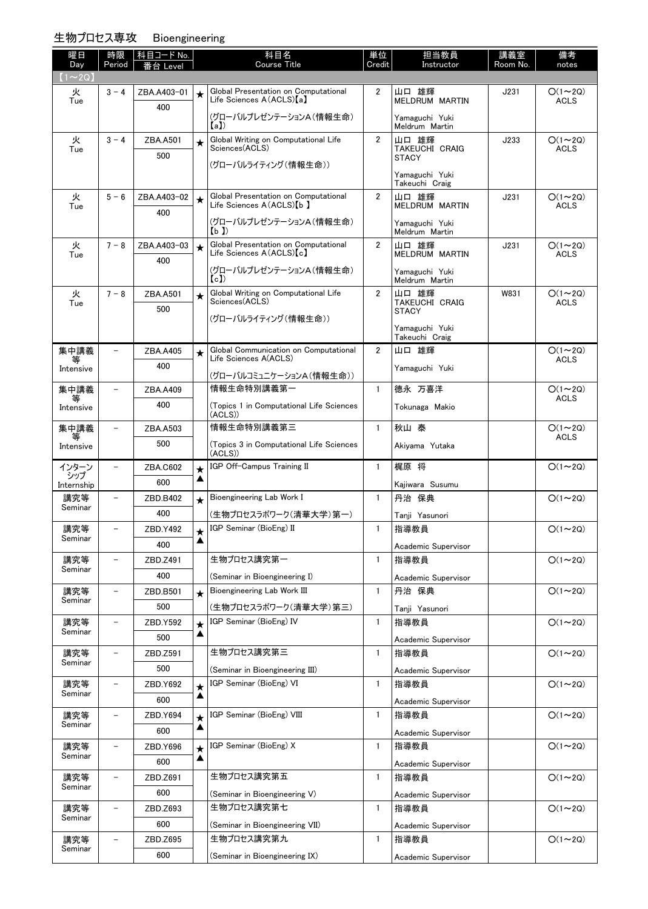### 生物プロセス専攻 Bioengineering

| 曜日<br>Day         | 時限<br>Period             | │科目コード No.<br>番台 Level |         | 科目名<br><b>Course Title</b>                                          | 単位<br>Credit   | 担当教員<br>Instructor               | 講義室<br>Room No. | 備考<br>notes                  |
|-------------------|--------------------------|------------------------|---------|---------------------------------------------------------------------|----------------|----------------------------------|-----------------|------------------------------|
| $(1\sim 2Q)$      |                          |                        |         |                                                                     |                |                                  |                 |                              |
| 火                 | $3 - 4$                  | ZBA.A403-01            | $\star$ | Global Presentation on Computational                                | $\overline{2}$ | 山口 雄輝                            | J231            | $O(1\sim 2Q)$                |
| Tue               |                          | 400                    |         | Life Sciences A(ACLS)[a]                                            |                | MELDRUM MARTIN                   |                 | <b>ACLS</b>                  |
|                   |                          |                        |         | (グローバルプレゼンテーションA(情報生命)<br>(a)                                       |                | Yamaguchi Yuki<br>Meldrum Martin |                 |                              |
| 火                 | $3 - 4$                  | ZBA.A501               | $\star$ | Global Writing on Computational Life                                | $\overline{2}$ | 山口 雄輝                            | J233            | $O(1\sim 2Q)$                |
| Tue               |                          | 500                    |         | Sciences(ACLS)                                                      |                | TAKEUCHI CRAIG<br>STACY          |                 | <b>ACLS</b>                  |
|                   |                          |                        |         | (グローバルライティング(情報生命))                                                 |                | Yamaguchi Yuki                   |                 |                              |
|                   |                          |                        |         |                                                                     |                | Takeuchi Craig                   |                 |                              |
| 火<br>Tue          | $5 - 6$                  | ZBA.A403-02            | $\star$ | Global Presentation on Computational<br>Life Sciences A (ACLS) [b ] | $\overline{2}$ | 山口 雄輝<br>MELDRUM MARTIN          | J231            | $O(1\sim 2Q)$<br><b>ACLS</b> |
|                   |                          | 400                    |         | (グローバルプレゼンテーションA(情報生命)                                              |                |                                  |                 |                              |
|                   |                          |                        |         | (b)                                                                 |                | Yamaguchi Yuki<br>Meldrum Martin |                 |                              |
| 火<br>Tue          | $7 - 8$                  | ZBA.A403-03            | $\star$ | Global Presentation on Computational<br>Life Sciences A(ACLS)[c]    | $\overline{2}$ | 山口 雄輝<br>MELDRUM MARTIN          | J231            | $O(1\sim 2Q)$<br><b>ACLS</b> |
|                   |                          | 400                    |         | (グローバルプレゼンテーションA(情報生命)                                              |                |                                  |                 |                              |
|                   |                          |                        |         | (c)                                                                 |                | Yamaguchi Yuki<br>Meldrum Martin |                 |                              |
| 火                 | $7 - 8$                  | ZBA.A501               | $\star$ | Global Writing on Computational Life<br>Sciences(ACLS)              | $\overline{2}$ | 山口 雄輝                            | W831            | $O(1\sim 2Q)$                |
| Tue               |                          | 500                    |         |                                                                     |                | TAKEUCHI CRAIG<br><b>STACY</b>   |                 | <b>ACLS</b>                  |
|                   |                          |                        |         | (グローバルライティング(情報生命))                                                 |                | Yamaguchi Yuki                   |                 |                              |
|                   |                          |                        |         |                                                                     |                | Takeuchi Craig                   |                 |                              |
| 集中講義<br>等         | $\overline{\phantom{0}}$ | ZBA.A405               | $\star$ | Global Communication on Computational<br>Life Sciences A(ACLS)      | $\overline{2}$ | 山口 雄輝                            |                 | $O(1\sim 2Q)$<br><b>ACLS</b> |
| Intensive         |                          | 400                    |         | (グローバルコミュニケーションA(情報生命))                                             |                | Yamaguchi Yuki                   |                 |                              |
| 集中講義              | $\overline{\phantom{0}}$ | ZBA.A409               |         | 情報生命特別講義第一                                                          | $\mathbf{1}$   | 德永 万喜洋                           |                 | $O(1\sim 2Q)$                |
| 等<br>Intensive    |                          | 400                    |         | (Topics 1 in Computational Life Sciences                            |                | Tokunaga Makio                   |                 | <b>ACLS</b>                  |
|                   |                          |                        |         | (ACLS))                                                             |                |                                  |                 |                              |
| 集中講義<br>等         | $\overline{\phantom{0}}$ | ZBA.A503               |         | 情報生命特別講義第三                                                          | $\mathbf{1}$   | 秋山 泰                             |                 | $O(1\sim 2Q)$<br><b>ACLS</b> |
| Intensive         |                          | 500                    |         | (Topics 3 in Computational Life Sciences<br>(ACLS)                  |                | Akiyama Yutaka                   |                 |                              |
| インターン             | $\overline{\phantom{0}}$ | ZBA.C602               | $\star$ | IGP Off-Campus Training II                                          | $\mathbf{1}$   | 梶原 将                             |                 | $O(1\sim 2Q)$                |
| シップ<br>Internship |                          | 600                    | ▲       |                                                                     |                | Kajiwara Susumu                  |                 |                              |
| 講究等               | $\overline{\phantom{0}}$ | ZBD.B402               | $\star$ | Bioengineering Lab Work I                                           | $\mathbf{1}$   | 丹治 保典                            |                 | $O(1\sim 2Q)$                |
| Seminar           |                          | 400                    |         | (生物プロセスラボワーク(清華大学)第一)                                               |                | Tanji Yasunori                   |                 |                              |
| 講究等               |                          | ZBD.Y492               | $\star$ | l IGP Seminar (BioEng) II                                           | $\mathbf{1}$   | 指導教員                             |                 | $O(1\sim 2Q)$                |
| Seminar           |                          | 400                    | ▲       |                                                                     |                | Academic Supervisor              |                 |                              |
| 講究等               |                          | ZBD.Z491               |         | 生物プロセス講究第一                                                          | $\mathbf{1}$   | 指導教員                             |                 | $O(1\sim 2Q)$                |
| Seminar           |                          | 400                    |         | (Seminar in Bioengineering I)                                       |                | Academic Supervisor              |                 |                              |
| 講究等               | $\overline{\phantom{0}}$ | ZBD.B501               | $\star$ | Bioengineering Lab Work III                                         | $\mathbf{1}$   | 丹治 保典                            |                 | $O(1\sim 2Q)$                |
| Seminar           |                          | 500                    |         | (生物プロセスラボワーク(清華大学)第三)                                               |                | Tanji Yasunori                   |                 |                              |
| 講究等               | $\overline{\phantom{0}}$ | ZBD.Y592               | $\star$ | IGP Seminar (BioEng) IV                                             | $\mathbf{1}$   | 指導教員                             |                 | $O(1\sim 2Q)$                |
| Seminar           |                          | 500                    | ▲       |                                                                     |                | Academic Supervisor              |                 |                              |
| 講究等               |                          | ZBD.Z591               |         | 生物プロセス講究第三                                                          | 1              | 指導教員                             |                 | $O(1\sim 2Q)$                |
| Seminar           |                          | 500                    |         | (Seminar in Bioengineering III)                                     |                | Academic Supervisor              |                 |                              |
| 講究等               |                          | ZBD.Y692               | $\star$ | IGP Seminar (BioEng) VI                                             | $\mathbf{1}$   | 指導教員                             |                 | $O(1\sim 2Q)$                |
| Seminar           |                          | 600                    | ▲       |                                                                     |                | Academic Supervisor              |                 |                              |
| 講究等               |                          | ZBD.Y694               | $\star$ | IGP Seminar (BioEng) VIII                                           | $\mathbf{1}$   | 指導教員                             |                 | $O(1\sim 2Q)$                |
| Seminar           |                          | 600                    | ▲       |                                                                     |                | Academic Supervisor              |                 |                              |
| 講究等               | $\overline{\phantom{0}}$ | ZBD.Y696               | $\star$ | IGP Seminar (BioEng) X                                              | $\mathbf{1}$   | 指導教員                             |                 | $O(1\sim 2Q)$                |
| Seminar           |                          | 600                    | ▲       |                                                                     |                | Academic Supervisor              |                 |                              |
| 講究等               |                          | ZBD.Z691               |         | 生物プロセス講究第五                                                          | $\mathbf{1}$   | 指導教員                             |                 | $O(1\sim 2Q)$                |
| Seminar           |                          | 600                    |         | (Seminar in Bioengineering V)                                       |                | Academic Supervisor              |                 |                              |
| 講究等<br>Seminar    |                          | ZBD.Z693               |         | 生物プロセス講究第七                                                          | $\mathbf{1}$   | 指導教員                             |                 | $O(1\sim 2Q)$                |
|                   |                          | 600                    |         | (Seminar in Bioengineering VII)                                     |                | Academic Supervisor              |                 |                              |
| 講究等<br>Seminar    |                          | ZBD.Z695               |         | 生物プロセス講究第九                                                          | $\mathbf{1}$   | 指導教員                             |                 | $O(1\sim 2Q)$                |
|                   |                          |                        |         |                                                                     |                |                                  |                 |                              |

[\(Seminar in Bioengineering IX\)](http://www.ocw.titech.ac.jp/index.php?module=General&action=T0300&JWC=201705878&lang=JA&vid=03)

Academic Supervisor

600